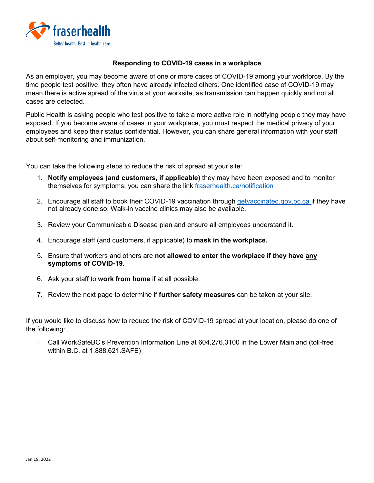

## **Responding to COVID-19 cases in a workplace**

As an employer, you may become aware of one or more cases of COVID-19 among your workforce. By the time people test positive, they often have already infected others. One identified case of COVID-19 may mean there is active spread of the virus at your worksite, as transmission can happen quickly and not all cases are detected.

Public Health is asking people who test positive to take a more active role in notifying people they may have exposed. If you become aware of cases in your workplace, you must respect the medical privacy of your employees and keep their status confidential. However, you can share general information with your staff about self-monitoring and immunization.

You can take the following steps to reduce the risk of spread at your site:

- 1. **Notify employees (and customers, if applicable)** they may have been exposed and to monitor themselves for symptoms; you can share the link [fraserhealth.ca/notification](https://www.fraserhealth.ca/notification#.Ydy9iiDMI2w)
- 2. Encourage all staff to book their COVID-19 vaccination through [getvaccinated.gov.bc.ca](https://www.getvaccinated.gov.bc.ca/s/) if they have not already done so. Walk-in vaccine clinics may also be available.
- 3. Review your Communicable Disease plan and ensure all employees understand it.
- 4. Encourage staff (and customers, if applicable) to **mask in the workplace.**
- 5. Ensure that workers and others are **not allowed to enter the workplace if they have any symptoms of COVID-19**.
- 6. Ask your staff to **work from home** if at all possible.
- 7. Review the next page to determine if **further safety measures** can be taken at your site.

If you would like to discuss how to reduce the risk of COVID-19 spread at your location, please do one of the following:

- Call WorkSafeBC's Prevention Information Line at 604.276.3100 in the Lower Mainland (toll-free within B.C. at 1.888.621.SAFE)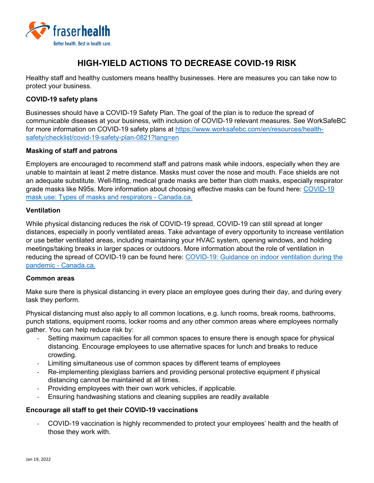

# **HIGH-YIELD ACTIONS TO DECREASE COVID-19 RISK**

Healthy staff and healthy customers means healthy businesses. Here are measures you can take now to protect your business.

## **COVID-19 safety plans**

Businesses should have a COVID-19 Safety Plan. The goal of the plan is to reduce the spread of communicable diseases at your business, with inclusion of COVID-19 relevant measures. See WorkSafeBC for more information on COVID-19 safety plans at [https://www.worksafebc.com/en/resources/health](https://www.worksafebc.com/en/resources/health-safety/checklist/covid-19-safety-plan-0821?lang=en)[safety/checklist/covid-19-safety-plan-0821?lang=en](https://www.worksafebc.com/en/resources/health-safety/checklist/covid-19-safety-plan-0821?lang=en)

## **Masking of staff and patrons**

Employers are encouraged to recommend staff and patrons mask while indoors, especially when they are unable to maintain at least 2 metre distance. Masks must cover the nose and mouth. Face shields are not an adequate substitute. Well-fitting, medical grade masks are better than cloth masks, especially respirator grade masks like N95s. More information about choosing effective masks can be found here: [COVID-19](https://www.canada.ca/en/public-health/services/publications/diseases-conditions/types-masks-respirators.html)  [mask use: Types of masks and respirators -](https://www.canada.ca/en/public-health/services/publications/diseases-conditions/types-masks-respirators.html) Canada.ca.

## **Ventilation**

While physical distancing reduces the risk of COVID-19 spread, COVID-19 can still spread at longer distances, especially in poorly ventilated areas. Take advantage of every opportunity to increase ventilation or use better ventilated areas, including maintaining your HVAC system, opening windows, and holding meetings/taking breaks in larger spaces or outdoors. More information about the role of ventilation in reducing the spread of COVID-19 can be found here: [COVID-19: Guidance on indoor ventilation during the](https://www.canada.ca/en/public-health/services/diseases/2019-novel-coronavirus-infection/guidance-documents/guide-indoor-ventilation-covid-19-pandemic.html)  pandemic - [Canada.ca.](https://www.canada.ca/en/public-health/services/diseases/2019-novel-coronavirus-infection/guidance-documents/guide-indoor-ventilation-covid-19-pandemic.html)

#### **Common areas**

Make sure there is physical distancing in every place an employee goes during their day, and during every task they perform.

Physical distancing must also apply to all common locations, e.g. lunch rooms, break rooms, bathrooms, punch stations, equipment rooms, locker rooms and any other common areas where employees normally gather. You can help reduce risk by:

- Setting maximum capacities for all common spaces to ensure there is enough space for physical distancing. Encourage employees to use alternative spaces for lunch and breaks to reduce crowding.
- Limiting simultaneous use of common spaces by different teams of employees
- Re-implementing plexiglass barriers and providing personal protective equipment if physical distancing cannot be maintained at all times.
- Providing employees with their own work vehicles, if applicable.
- Ensuring handwashing stations and cleaning supplies are readily available

## **Encourage all staff to get their COVID-19 vaccinations**

- COVID-19 vaccination is highly recommended to protect your employees' health and the health of those they work with.